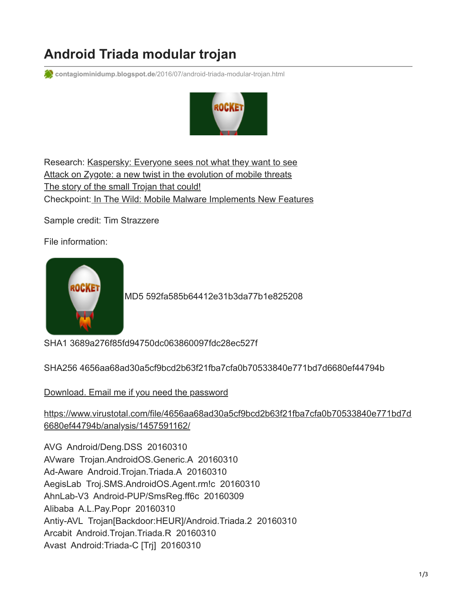# **Android Triada modular trojan**

**contagiominidump.blogspot.de**[/2016/07/android-triada-modular-trojan.html](http://contagiominidump.blogspot.de/2016/07/android-triada-modular-trojan.html)



Research: [Kaspersky: Everyone sees not what they want to see](https://securelist.com/blog/research/74997/everyone-sees-not-what-they-want-to-see/) [Attack on Zygote: a new twist in the evolution of mobile threats](https://securelist.com/analysis/publications/74032/attack-on-zygote-a-new-twist-in-the-evolution-of-mobile-threats/) [The story of the small Trojan that could!](https://securelist.com/analysis/publications/74032/attack-on-zygote-a-new-twist-in-the-evolution-of-mobile-threats/) Checkpoint[: In The Wild: Mobile Malware Implements New Features](http://blog.checkpoint.com/2016/06/17/in-the-wild-mobile-malware-implements-new-features/)

Sample credit: Tim Strazzere

File information:



[M](https://2.bp.blogspot.com/-x_iSsOuTHcE/V3lr-2x7tZI/AAAAAAACX38/_jZmGVGZL6kBfvZZ4LQpWosh8NCL04oAACLcB/s1600/ic_launcher.png)D5 592fa585b64412e31b3da77b1e825208

SHA1 3689a276f85fd94750dc063860097fdc28ec527f

SHA256 4656aa68ad30a5cf9bcd2b63f21fba7cfa0b70533840e771bd7d6680ef44794b

[Download. Email me if you need the password](http://contagiomobile.deependresearch.org/triada_android_samp.zip)

[https://www.virustotal.com/file/4656aa68ad30a5cf9bcd2b63f21fba7cfa0b70533840e771bd7d](https://www.virustotal.com/file/4656aa68ad30a5cf9bcd2b63f21fba7cfa0b70533840e771bd7d6680ef44794b/analysis/1457591162/) 6680ef44794b/analysis/1457591162/

AVG Android/Deng.DSS 20160310 AVware Trojan.AndroidOS.Generic.A 20160310 Ad-Aware Android.Trojan.Triada.A 20160310 AegisLab Troj.SMS.AndroidOS.Agent.rm!c 20160310 AhnLab-V3 Android-PUP/SmsReg.ff6c 20160309 Alibaba A.L.Pay.Popr 20160310 Antiy-AVL Trojan[Backdoor:HEUR]/Android.Triada.2 20160310 Arcabit Android.Trojan.Triada.R 20160310 Avast Android:Triada-C [Trj] 20160310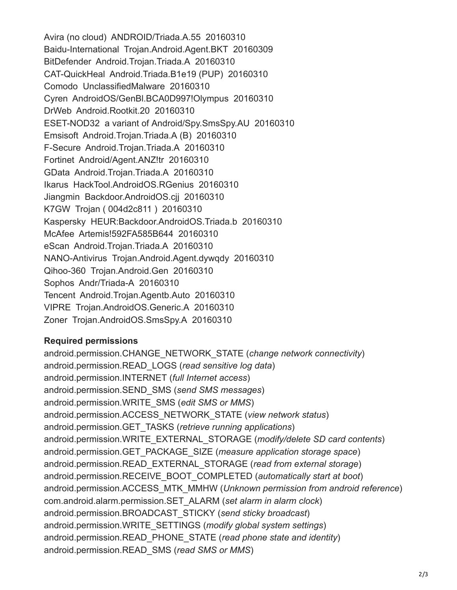Avira (no cloud) ANDROID/Triada.A.55 20160310 Baidu-International Trojan.Android.Agent.BKT 20160309 BitDefender Android.Trojan.Triada.A 20160310 CAT-QuickHeal Android.Triada.B1e19 (PUP) 20160310 Comodo UnclassifiedMalware 20160310 Cyren AndroidOS/GenBl.BCA0D997!Olympus 20160310 DrWeb Android.Rootkit.20 20160310 ESET-NOD32 a variant of Android/Spy.SmsSpy.AU 20160310 Emsisoft Android.Trojan.Triada.A (B) 20160310 F-Secure Android.Trojan.Triada.A 20160310 Fortinet Android/Agent.ANZ!tr 20160310 GData Android.Trojan.Triada.A 20160310 Ikarus HackTool.AndroidOS.RGenius 20160310 Jiangmin Backdoor.AndroidOS.cjj 20160310 K7GW Trojan ( 004d2c811 ) 20160310 Kaspersky HEUR:Backdoor.AndroidOS.Triada.b 20160310 McAfee Artemis!592FA585B644 20160310 eScan Android.Trojan.Triada.A 20160310 NANO-Antivirus Trojan.Android.Agent.dywqdy 20160310 Qihoo-360 Trojan.Android.Gen 20160310 Sophos Andr/Triada-A 20160310 Tencent Android.Trojan.Agentb.Auto 20160310 VIPRE Trojan.AndroidOS.Generic.A 20160310 Zoner Trojan.AndroidOS.SmsSpy.A 20160310

# **Required permissions**

android.permission.CHANGE\_NETWORK\_STATE (*change network connectivity*) android.permission.READ\_LOGS (*read sensitive log data*) android.permission.INTERNET (*full Internet access*) android.permission.SEND\_SMS (*send SMS messages*) android.permission.WRITE\_SMS (*edit SMS or MMS*) android.permission.ACCESS\_NETWORK\_STATE (*view network status*) android.permission.GET\_TASKS (*retrieve running applications*) android.permission.WRITE\_EXTERNAL\_STORAGE (*modify/delete SD card contents*) android.permission.GET\_PACKAGE\_SIZE (*measure application storage space*) android.permission.READ\_EXTERNAL\_STORAGE (*read from external storage*) android.permission.RECEIVE\_BOOT\_COMPLETED (*automatically start at boot*) android.permission.ACCESS\_MTK\_MMHW (*Unknown permission from android reference*) com.android.alarm.permission.SET\_ALARM (*set alarm in alarm clock*) android.permission.BROADCAST\_STICKY (*send sticky broadcast*) android.permission.WRITE\_SETTINGS (*modify global system settings*) android.permission.READ\_PHONE\_STATE (*read phone state and identity*) android.permission.READ\_SMS (*read SMS or MMS*)